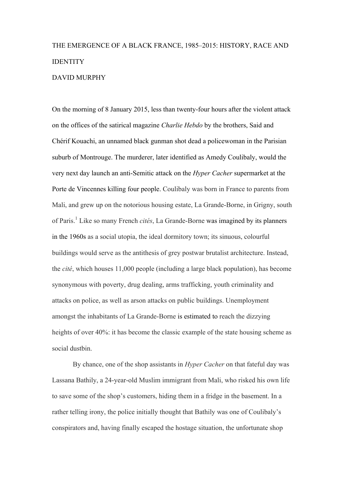# THE EMERGENCE OF A BLACK FRANCE, 1985–2015: HISTORY, RACE AND **IDENTITY** DAVID MURPHY

On the morning of 8 January 2015, less than twenty-four hours after the violent attack on the offices of the satirical magazine *Charlie Hebdo* by the brothers, Said and Chérif Kouachi, an unnamed black gunman shot dead a policewoman in the Parisian suburb of Montrouge. The murderer, later identified as Amedy Coulibaly, would the very next day launch an anti-Semitic attack on the *Hyper Cacher* supermarket at the Porte de Vincennes killing four people. Coulibaly was born in France to parents from Mali, and grew up on the notorious housing estate, La Grande-Borne, in Grigny, south of Paris.<sup>1</sup> Like so many French *cités*, La Grande-Borne was imagined by its planners in the 1960s as a social utopia, the ideal dormitory town; its sinuous, colourful buildings would serve as the antithesis of grey postwar brutalist architecture. Instead, the *cité*, which houses 11,000 people (including a large black population), has become synonymous with poverty, drug dealing, arms trafficking, youth criminality and attacks on police, as well as arson attacks on public buildings. Unemployment amongst the inhabitants of La Grande-Borne is estimated to reach the dizzying heights of over 40%: it has become the classic example of the state housing scheme as social dustbin.

By chance, one of the shop assistants in *Hyper Cacher* on that fateful day was Lassana Bathily, a 24-year-old Muslim immigrant from Mali, who risked his own life to save some of the shop's customers, hiding them in a fridge in the basement. In a rather telling irony, the police initially thought that Bathily was one of Coulibaly's conspirators and, having finally escaped the hostage situation, the unfortunate shop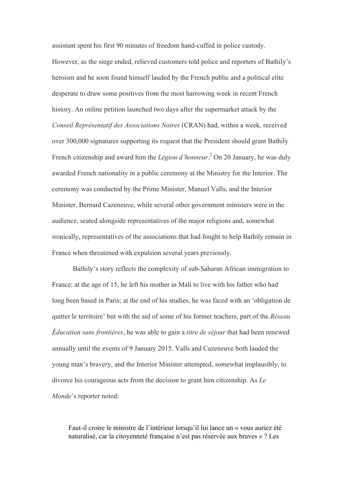assistant spent his first 90 minutes of freedom hand-cuffed in police custody. However, as the siege ended, relieved customers told police and reporters of Bathily's heroism and he soon found himself lauded by the French public and a political elite desperate to draw some positives from the most harrowing week in recent French history. An online petition launched two days after the supermarket attack by the *Conseil Représentatif des Associations Noires* (CRAN) had, within a week, received over 300,000 signatures supporting its request that the President should grant Bathily French citizenship and award him the *Légion d'honneur*. <sup>2</sup> On 20 January, he was duly awarded French nationality in a public ceremony at the Ministry for the Interior. The ceremony was conducted by the Prime Minister, Manuel Valls, and the Interior Minister, Bernard Cazeneuve, while several other government ministers were in the audience, seated alongside representatives of the major religions and, somewhat ironically, representatives of the associations that had fought to help Bathily remain in France when threatened with expulsion several years previously.

Bathily's story reflects the complexity of sub-Saharan African immigration to France: at the age of 15, he left his mother in Mali to live with his father who had long been based in Paris; at the end of his studies, he was faced with an 'obligation de quitter le territoire' but with the aid of some of his former teachers, part of the *Réseau Éducation sans frontières*, he was able to gain a *titre de séjour* that had been renewed annually until the events of 9 January 2015. Valls and Cazeneuve both lauded the young man's bravery, and the Interior Minister attempted, somewhat implausibly, to divorce his courageous acts from the decision to grant him citizenship. As *Le Monde*'s reporter noted:

Faut-il croire le ministre de l'intérieur lorsqu'il lui lance un « vous auriez été naturalisé, car la citoyenneté française n'est pas réservée aux braves » ? Les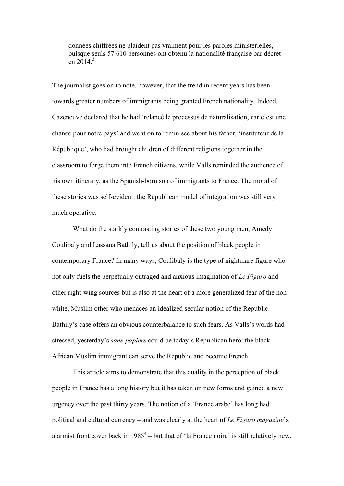données chiffrées ne plaident pas vraiment pour les paroles ministérielles, puisque seuls 57 610 personnes ont obtenu la nationalité française par décret en  $2014<sup>3</sup>$ 

The journalist goes on to note, however, that the trend in recent years has been towards greater numbers of immigrants being granted French nationality. Indeed, Cazeneuve declared that he had 'relancé le processus de naturalisation, car c'est une chance pour notre pays' and went on to reminisce about his father, 'instituteur de la République', who had brought children of different religions together in the classroom to forge them into French citizens, while Valls reminded the audience of his own itinerary, as the Spanish-born son of immigrants to France. The moral of these stories was self-evident: the Republican model of integration was still very much operative.

What do the starkly contrasting stories of these two young men, Amedy Coulibaly and Lassana Bathily, tell us about the position of black people in contemporary France? In many ways, Coulibaly is the type of nightmare figure who not only fuels the perpetually outraged and anxious imagination of *Le Figaro* and other right-wing sources but is also at the heart of a more generalized fear of the nonwhite, Muslim other who menaces an idealized secular notion of the Republic. Bathily's case offers an obvious counterbalance to such fears. As Valls's words had stressed, yesterday's *sans-papiers* could be today's Republican hero: the black African Muslim immigrant can serve the Republic and become French.

This article aims to demonstrate that this duality in the perception of black people in France has a long history but it has taken on new forms and gained a new urgency over the past thirty years. The notion of a 'France arabe' has long had political and cultural currency – and was clearly at the heart of *Le Figaro magazine*'s alarmist front cover back in  $1985<sup>4</sup>$  – but that of 'la France noire' is still relatively new.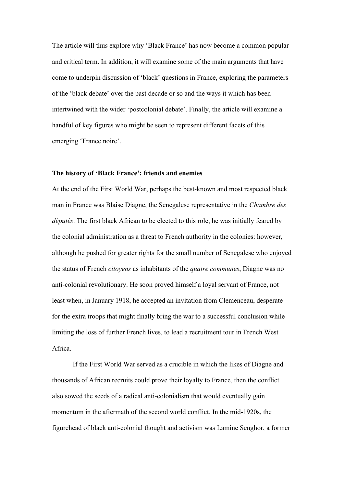The article will thus explore why 'Black France' has now become a common popular and critical term. In addition, it will examine some of the main arguments that have come to underpin discussion of 'black' questions in France, exploring the parameters of the 'black debate' over the past decade or so and the ways it which has been intertwined with the wider 'postcolonial debate'. Finally, the article will examine a handful of key figures who might be seen to represent different facets of this emerging 'France noire'.

#### **The history of 'Black France': friends and enemies**

At the end of the First World War, perhaps the best-known and most respected black man in France was Blaise Diagne, the Senegalese representative in the *Chambre des députés*. The first black African to be elected to this role, he was initially feared by the colonial administration as a threat to French authority in the colonies: however, although he pushed for greater rights for the small number of Senegalese who enjoyed the status of French *citoyens* as inhabitants of the *quatre communes*, Diagne was no anti-colonial revolutionary. He soon proved himself a loyal servant of France, not least when, in January 1918, he accepted an invitation from Clemenceau, desperate for the extra troops that might finally bring the war to a successful conclusion while limiting the loss of further French lives, to lead a recruitment tour in French West Africa.

If the First World War served as a crucible in which the likes of Diagne and thousands of African recruits could prove their loyalty to France, then the conflict also sowed the seeds of a radical anti-colonialism that would eventually gain momentum in the aftermath of the second world conflict. In the mid-1920s, the figurehead of black anti-colonial thought and activism was Lamine Senghor, a former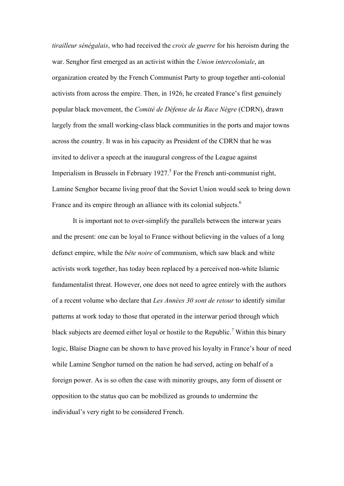*tirailleur sénégalais*, who had received the *croix de guerre* for his heroism during the war. Senghor first emerged as an activist within the *Union intercoloniale*, an organization created by the French Communist Party to group together anti-colonial activists from across the empire. Then, in 1926, he created France's first genuinely popular black movement, the *Comité de Défense de la Race Nègre* (CDRN), drawn largely from the small working-class black communities in the ports and major towns across the country. It was in his capacity as President of the CDRN that he was invited to deliver a speech at the inaugural congress of the League against Imperialism in Brussels in February 1927.<sup>5</sup> For the French anti-communist right, Lamine Senghor became living proof that the Soviet Union would seek to bring down France and its empire through an alliance with its colonial subjects.<sup>6</sup>

It is important not to over-simplify the parallels between the interwar years and the present: one can be loyal to France without believing in the values of a long defunct empire, while the *bête noire* of communism, which saw black and white activists work together, has today been replaced by a perceived non-white Islamic fundamentalist threat. However, one does not need to agree entirely with the authors of a recent volume who declare that *Les Années 30 sont de retour* to identify similar patterns at work today to those that operated in the interwar period through which black subjects are deemed either loyal or hostile to the Republic.*<sup>7</sup>* Within this binary logic, Blaise Diagne can be shown to have proved his loyalty in France's hour of need while Lamine Senghor turned on the nation he had served, acting on behalf of a foreign power. As is so often the case with minority groups, any form of dissent or opposition to the status quo can be mobilized as grounds to undermine the individual's very right to be considered French.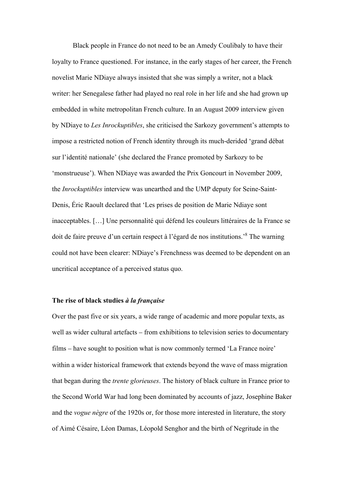Black people in France do not need to be an Amedy Coulibaly to have their loyalty to France questioned. For instance, in the early stages of her career, the French novelist Marie NDiaye always insisted that she was simply a writer, not a black writer: her Senegalese father had played no real role in her life and she had grown up embedded in white metropolitan French culture. In an August 2009 interview given by NDiaye to *Les Inrockuptibles*, she criticised the Sarkozy government's attempts to impose a restricted notion of French identity through its much-derided 'grand débat sur l'identité nationale' (she declared the France promoted by Sarkozy to be 'monstrueuse'). When NDiaye was awarded the Prix Goncourt in November 2009, the *Inrockuptibles* interview was unearthed and the UMP deputy for Seine-Saint-Denis, Éric Raoult declared that 'Les prises de position de Marie Ndiaye sont inacceptables. […] Une personnalité qui défend les couleurs littéraires de la France se doit de faire preuve d'un certain respect à l'égard de nos institutions.'8 The warning could not have been clearer: NDiaye's Frenchness was deemed to be dependent on an uncritical acceptance of a perceived status quo.

## **The rise of black studies** *à la française*

Over the past five or six years, a wide range of academic and more popular texts, as well as wider cultural artefacts – from exhibitions to television series to documentary films – have sought to position what is now commonly termed 'La France noire' within a wider historical framework that extends beyond the wave of mass migration that began during the *trente glorieuses*. The history of black culture in France prior to the Second World War had long been dominated by accounts of jazz, Josephine Baker and the *vogue nègre* of the 1920s or, for those more interested in literature, the story of Aimé Césaire, Léon Damas, Léopold Senghor and the birth of Negritude in the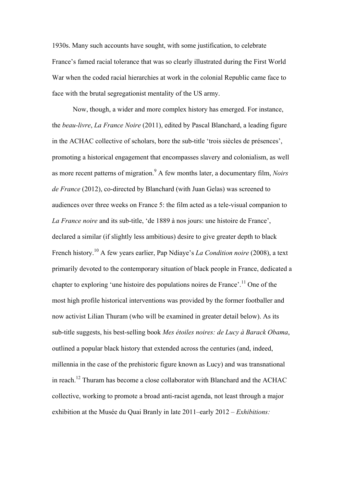1930s. Many such accounts have sought, with some justification, to celebrate France's famed racial tolerance that was so clearly illustrated during the First World War when the coded racial hierarchies at work in the colonial Republic came face to face with the brutal segregationist mentality of the US army.

Now, though, a wider and more complex history has emerged. For instance, the *beau-livre*, *La France Noire* (2011), edited by Pascal Blanchard, a leading figure in the ACHAC collective of scholars, bore the sub-title 'trois siècles de présences', promoting a historical engagement that encompasses slavery and colonialism, as well as more recent patterns of migration.<sup>9</sup> A few months later, a documentary film, *Noirs de France* (2012), co-directed by Blanchard (with Juan Gelas) was screened to audiences over three weeks on France 5: the film acted as a tele-visual companion to *La France noire* and its sub-title, 'de 1889 à nos jours: une histoire de France', declared a similar (if slightly less ambitious) desire to give greater depth to black French history.<sup>10</sup> A few years earlier, Pap Ndiaye's *La Condition noire* (2008), a text primarily devoted to the contemporary situation of black people in France, dedicated a chapter to exploring 'une histoire des populations noires de France'.<sup>11</sup> One of the most high profile historical interventions was provided by the former footballer and now activist Lilian Thuram (who will be examined in greater detail below). As its sub-title suggests, his best-selling book *Mes étoiles noires: de Lucy à Barack Obama*, outlined a popular black history that extended across the centuries (and, indeed, millennia in the case of the prehistoric figure known as Lucy) and was transnational in reach.<sup>12</sup> Thuram has become a close collaborator with Blanchard and the ACHAC collective, working to promote a broad anti-racist agenda, not least through a major exhibition at the Musée du Quai Branly in late 2011–early 2012 – *Exhibitions:*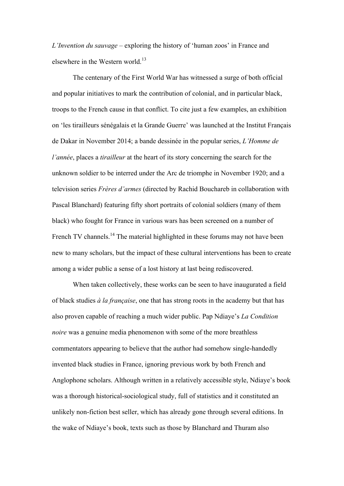*L'Invention du sauvage* – exploring the history of 'human zoos' in France and elsewhere in the Western world.<sup>13</sup>

The centenary of the First World War has witnessed a surge of both official and popular initiatives to mark the contribution of colonial, and in particular black, troops to the French cause in that conflict. To cite just a few examples, an exhibition on 'les tirailleurs sénégalais et la Grande Guerre' was launched at the Institut Français de Dakar in November 2014; a bande dessinée in the popular series, *L'Homme de l'année*, places a *tirailleur* at the heart of its story concerning the search for the unknown soldier to be interred under the Arc de triomphe in November 1920; and a television series *Frères d'armes* (directed by Rachid Bouchareb in collaboration with Pascal Blanchard) featuring fifty short portraits of colonial soldiers (many of them black) who fought for France in various wars has been screened on a number of French TV channels.<sup>14</sup> The material highlighted in these forums may not have been new to many scholars, but the impact of these cultural interventions has been to create among a wider public a sense of a lost history at last being rediscovered.

When taken collectively, these works can be seen to have inaugurated a field of black studies *à la française*, one that has strong roots in the academy but that has also proven capable of reaching a much wider public. Pap Ndiaye's *La Condition noire* was a genuine media phenomenon with some of the more breathless commentators appearing to believe that the author had somehow single-handedly invented black studies in France, ignoring previous work by both French and Anglophone scholars. Although written in a relatively accessible style, Ndiaye's book was a thorough historical-sociological study, full of statistics and it constituted an unlikely non-fiction best seller, which has already gone through several editions. In the wake of Ndiaye's book, texts such as those by Blanchard and Thuram also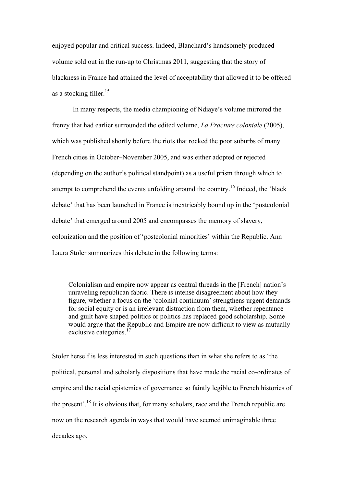enjoyed popular and critical success. Indeed, Blanchard's handsomely produced volume sold out in the run-up to Christmas 2011, suggesting that the story of blackness in France had attained the level of acceptability that allowed it to be offered as a stocking filler.<sup>15</sup>

In many respects, the media championing of Ndiaye's volume mirrored the frenzy that had earlier surrounded the edited volume, *La Fracture coloniale* (2005), which was published shortly before the riots that rocked the poor suburbs of many French cities in October–November 2005, and was either adopted or rejected (depending on the author's political standpoint) as a useful prism through which to attempt to comprehend the events unfolding around the country.16 Indeed, the 'black debate' that has been launched in France is inextricably bound up in the 'postcolonial debate' that emerged around 2005 and encompasses the memory of slavery, colonization and the position of 'postcolonial minorities' within the Republic. Ann Laura Stoler summarizes this debate in the following terms:

Colonialism and empire now appear as central threads in the [French] nation's unraveling republican fabric. There is intense disagreement about how they figure, whether a focus on the 'colonial continuum' strengthens urgent demands for social equity or is an irrelevant distraction from them, whether repentance and guilt have shaped politics or politics has replaced good scholarship. Some would argue that the Republic and Empire are now difficult to view as mutually exclusive categories.<sup>17</sup>

Stoler herself is less interested in such questions than in what she refers to as 'the political, personal and scholarly dispositions that have made the racial co-ordinates of empire and the racial epistemics of governance so faintly legible to French histories of the present'.18 It is obvious that, for many scholars, race and the French republic are now on the research agenda in ways that would have seemed unimaginable three decades ago.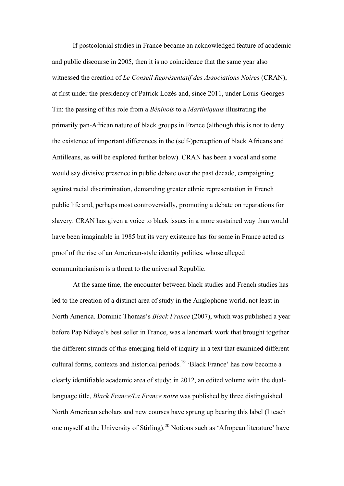If postcolonial studies in France became an acknowledged feature of academic and public discourse in 2005, then it is no coincidence that the same year also witnessed the creation of *Le Conseil Représentatif des Associations Noires* (CRAN), at first under the presidency of Patrick Lozès and, since 2011, under Louis-Georges Tin: the passing of this role from a *Béninois* to a *Martiniquais* illustrating the primarily pan-African nature of black groups in France (although this is not to deny the existence of important differences in the (self-)perception of black Africans and Antilleans, as will be explored further below). CRAN has been a vocal and some would say divisive presence in public debate over the past decade, campaigning against racial discrimination, demanding greater ethnic representation in French public life and, perhaps most controversially, promoting a debate on reparations for slavery. CRAN has given a voice to black issues in a more sustained way than would have been imaginable in 1985 but its very existence has for some in France acted as proof of the rise of an American-style identity politics, whose alleged communitarianism is a threat to the universal Republic.

At the same time, the encounter between black studies and French studies has led to the creation of a distinct area of study in the Anglophone world, not least in North America. Dominic Thomas's *Black France* (2007), which was published a year before Pap Ndiaye's best seller in France, was a landmark work that brought together the different strands of this emerging field of inquiry in a text that examined different cultural forms, contexts and historical periods.<sup>19</sup> 'Black France' has now become a clearly identifiable academic area of study: in 2012, an edited volume with the duallanguage title, *Black France/La France noire* was published by three distinguished North American scholars and new courses have sprung up bearing this label (I teach one myself at the University of Stirling).20 Notions such as 'Afropean literature' have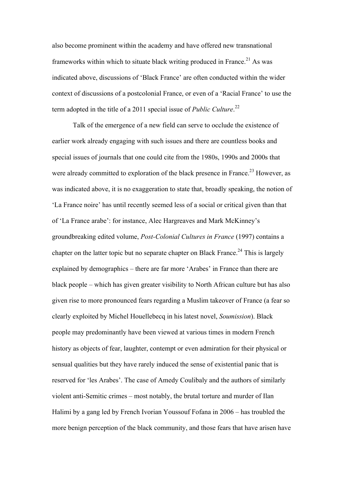also become prominent within the academy and have offered new transnational frameworks within which to situate black writing produced in France.<sup>21</sup> As was indicated above, discussions of 'Black France' are often conducted within the wider context of discussions of a postcolonial France, or even of a 'Racial France' to use the term adopted in the title of a 2011 special issue of *Public Culture*. 22

Talk of the emergence of a new field can serve to occlude the existence of earlier work already engaging with such issues and there are countless books and special issues of journals that one could cite from the 1980s, 1990s and 2000s that were already committed to exploration of the black presence in France.<sup>23</sup> However, as was indicated above, it is no exaggeration to state that, broadly speaking, the notion of 'La France noire' has until recently seemed less of a social or critical given than that of 'La France arabe': for instance, Alec Hargreaves and Mark McKinney's groundbreaking edited volume, *Post-Colonial Cultures in France* (1997) contains a chapter on the latter topic but no separate chapter on Black France.<sup>24</sup> This is largely explained by demographics – there are far more 'Arabes' in France than there are black people – which has given greater visibility to North African culture but has also given rise to more pronounced fears regarding a Muslim takeover of France (a fear so clearly exploited by Michel Houellebecq in his latest novel, *Soumission*). Black people may predominantly have been viewed at various times in modern French history as objects of fear, laughter, contempt or even admiration for their physical or sensual qualities but they have rarely induced the sense of existential panic that is reserved for 'les Arabes'. The case of Amedy Coulibaly and the authors of similarly violent anti-Semitic crimes – most notably, the brutal torture and murder of Ilan Halimi by a gang led by French Ivorian Youssouf Fofana in 2006 – has troubled the more benign perception of the black community, and those fears that have arisen have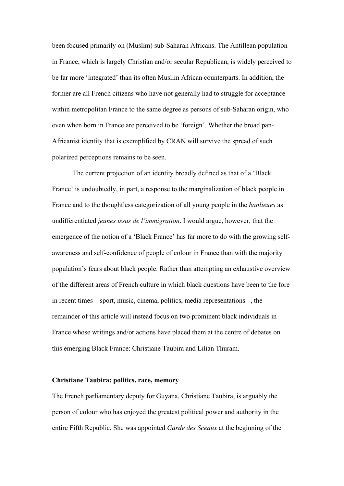been focused primarily on (Muslim) sub-Saharan Africans. The Antillean population in France, which is largely Christian and/or secular Republican, is widely perceived to be far more 'integrated' than its often Muslim African counterparts. In addition, the former are all French citizens who have not generally had to struggle for acceptance within metropolitan France to the same degree as persons of sub-Saharan origin, who even when born in France are perceived to be 'foreign'. Whether the broad pan-Africanist identity that is exemplified by CRAN will survive the spread of such polarized perceptions remains to be seen.

The current projection of an identity broadly defined as that of a 'Black France' is undoubtedly, in part, a response to the marginalization of black people in France and to the thoughtless categorization of all young people in the *banlieues* as undifferentiated *jeunes issus de l'immigration*. I would argue, however, that the emergence of the notion of a 'Black France' has far more to do with the growing selfawareness and self-confidence of people of colour in France than with the majority population's fears about black people. Rather than attempting an exhaustive overview of the different areas of French culture in which black questions have been to the fore in recent times – sport, music, cinema, politics, media representations –, the remainder of this article will instead focus on two prominent black individuals in France whose writings and/or actions have placed them at the centre of debates on this emerging Black France: Christiane Taubira and Lilian Thuram.

### **Christiane Taubira: politics, race, memory**

The French parliamentary deputy for Guyana, Christiane Taubira, is arguably the person of colour who has enjoyed the greatest political power and authority in the entire Fifth Republic. She was appointed *Garde des Sceaux* at the beginning of the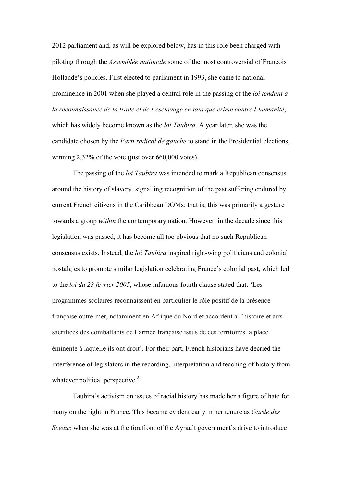2012 parliament and, as will be explored below, has in this role been charged with piloting through the *Assemblée nationale* some of the most controversial of François Hollande's policies. First elected to parliament in 1993, she came to national prominence in 2001 when she played a central role in the passing of the *loi tendant à la reconnaissance de la traite et de l'esclavage en tant que crime contre l'humanité*, which has widely become known as the *loi Taubira*. A year later, she was the candidate chosen by the *Parti radical de gauche* to stand in the Presidential elections, winning 2.32% of the vote (just over 660,000 votes).

The passing of the *loi Taubira* was intended to mark a Republican consensus around the history of slavery, signalling recognition of the past suffering endured by current French citizens in the Caribbean DOMs: that is, this was primarily a gesture towards a group *within* the contemporary nation. However, in the decade since this legislation was passed, it has become all too obvious that no such Republican consensus exists. Instead, the *loi Taubira* inspired right-wing politicians and colonial nostalgics to promote similar legislation celebrating France's colonial past, which led to the *loi du 23 février 2005*, whose infamous fourth clause stated that: 'Les programmes scolaires reconnaissent en particulier le rôle positif de la présence française outre-mer, notamment en Afrique du Nord et accordent à l'histoire et aux sacrifices des combattants de l'armée française issus de ces territoires la place éminente à laquelle ils ont droit'. For their part, French historians have decried the interference of legislators in the recording, interpretation and teaching of history from whatever political perspective.<sup>25</sup>

Taubira's activism on issues of racial history has made her a figure of hate for many on the right in France. This became evident early in her tenure as *Garde des Sceaux* when she was at the forefront of the Ayrault government's drive to introduce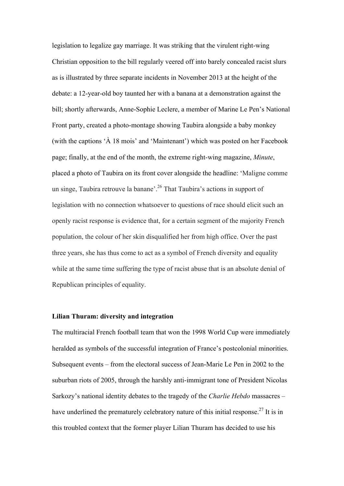legislation to legalize gay marriage. It was striking that the virulent right-wing Christian opposition to the bill regularly veered off into barely concealed racist slurs as is illustrated by three separate incidents in November 2013 at the height of the debate: a 12-year-old boy taunted her with a banana at a demonstration against the bill; shortly afterwards, Anne-Sophie Leclere, a member of Marine Le Pen's National Front party, created a photo-montage showing Taubira alongside a baby monkey (with the captions 'À 18 mois' and 'Maintenant') which was posted on her Facebook page; finally, at the end of the month, the extreme right-wing magazine, *Minute*, placed a photo of Taubira on its front cover alongside the headline: 'Maligne comme un singe, Taubira retrouve la banane<sup>'. 26</sup> That Taubira's actions in support of legislation with no connection whatsoever to questions of race should elicit such an openly racist response is evidence that, for a certain segment of the majority French population, the colour of her skin disqualified her from high office. Over the past three years, she has thus come to act as a symbol of French diversity and equality while at the same time suffering the type of racist abuse that is an absolute denial of Republican principles of equality.

## **Lilian Thuram: diversity and integration**

The multiracial French football team that won the 1998 World Cup were immediately heralded as symbols of the successful integration of France's postcolonial minorities. Subsequent events – from the electoral success of Jean-Marie Le Pen in 2002 to the suburban riots of 2005, through the harshly anti-immigrant tone of President Nicolas Sarkozy's national identity debates to the tragedy of the *Charlie Hebdo* massacres – have underlined the prematurely celebratory nature of this initial response.<sup>27</sup> It is in this troubled context that the former player Lilian Thuram has decided to use his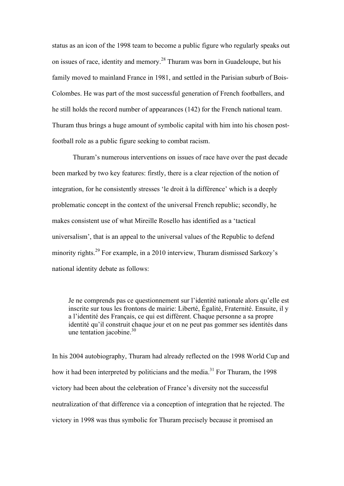status as an icon of the 1998 team to become a public figure who regularly speaks out on issues of race, identity and memory.<sup>28</sup> Thuram was born in Guadeloupe, but his family moved to mainland France in 1981, and settled in the Parisian suburb of Bois-Colombes. He was part of the most successful generation of French footballers, and he still holds the record number of appearances (142) for the French national team. Thuram thus brings a huge amount of symbolic capital with him into his chosen postfootball role as a public figure seeking to combat racism.

Thuram's numerous interventions on issues of race have over the past decade been marked by two key features: firstly, there is a clear rejection of the notion of integration, for he consistently stresses 'le droit à la différence' which is a deeply problematic concept in the context of the universal French republic; secondly, he makes consistent use of what Mireille Rosello has identified as a 'tactical universalism', that is an appeal to the universal values of the Republic to defend minority rights.<sup>29</sup> For example, in a 2010 interview. Thuram dismissed Sarkozy's national identity debate as follows:

Je ne comprends pas ce questionnement sur l'identité nationale alors qu'elle est inscrite sur tous les frontons de mairie: Liberté, Égalité, Fraternité. Ensuite, il y a l'identité des Français, ce qui est différent. Chaque personne a sa propre identité qu'il construit chaque jour et on ne peut pas gommer ses identités dans une tentation jacobine. 30

In his 2004 autobiography, Thuram had already reflected on the 1998 World Cup and how it had been interpreted by politicians and the media.<sup>31</sup> For Thuram, the 1998 victory had been about the celebration of France's diversity not the successful neutralization of that difference via a conception of integration that he rejected. The victory in 1998 was thus symbolic for Thuram precisely because it promised an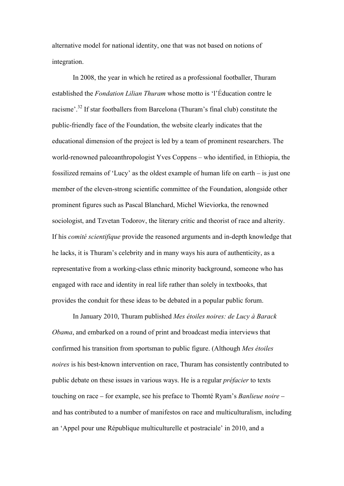alternative model for national identity, one that was not based on notions of integration.

In 2008, the year in which he retired as a professional footballer, Thuram established the *Fondation Lilian Thuram* whose motto is 'l'Éducation contre le racisme'.<sup>32</sup> If star footballers from Barcelona (Thuram's final club) constitute the public-friendly face of the Foundation, the website clearly indicates that the educational dimension of the project is led by a team of prominent researchers. The world-renowned paleoanthropologist Yves Coppens – who identified, in Ethiopia, the fossilized remains of 'Lucy' as the oldest example of human life on earth – is just one member of the eleven-strong scientific committee of the Foundation, alongside other prominent figures such as Pascal Blanchard, Michel Wieviorka, the renowned sociologist, and Tzvetan Todorov, the literary critic and theorist of race and alterity. If his *comité scientifique* provide the reasoned arguments and in-depth knowledge that he lacks, it is Thuram's celebrity and in many ways his aura of authenticity, as a representative from a working-class ethnic minority background, someone who has engaged with race and identity in real life rather than solely in textbooks, that provides the conduit for these ideas to be debated in a popular public forum.

In January 2010, Thuram published *Mes étoiles noires: de Lucy à Barack Obama*, and embarked on a round of print and broadcast media interviews that confirmed his transition from sportsman to public figure. (Although *Mes étoiles noires* is his best-known intervention on race, Thuram has consistently contributed to public debate on these issues in various ways. He is a regular *préfacier* to texts touching on race – for example, see his preface to Thomté Ryam's *Banlieue noire* – and has contributed to a number of manifestos on race and multiculturalism, including an 'Appel pour une République multiculturelle et postraciale' in 2010, and a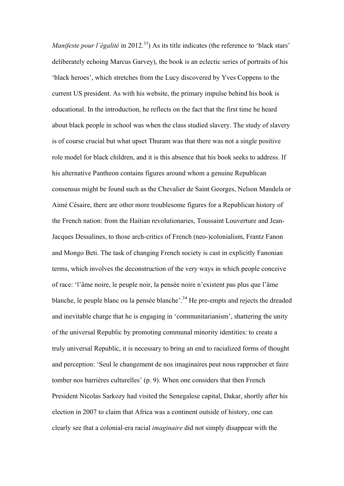*Manifeste pour l'égalité* in 2012.<sup>33</sup>) As its title indicates (the reference to 'black stars' deliberately echoing Marcus Garvey), the book is an eclectic series of portraits of his 'black heroes', which stretches from the Lucy discovered by Yves Coppens to the current US president. As with his website, the primary impulse behind his book is educational. In the introduction, he reflects on the fact that the first time he heard about black people in school was when the class studied slavery. The study of slavery is of course crucial but what upset Thuram was that there was not a single positive role model for black children, and it is this absence that his book seeks to address. If his alternative Pantheon contains figures around whom a genuine Republican consensus might be found such as the Chevalier de Saint Georges, Nelson Mandela or Aimé Césaire, there are other more troublesome figures for a Republican history of the French nation: from the Haitian revolutionaries, Toussaint Louverture and Jean-Jacques Dessalines, to those arch-critics of French (neo-)colonialism, Frantz Fanon and Mongo Beti. The task of changing French society is cast in explicitly Fanonian terms, which involves the deconstruction of the very ways in which people conceive of race: 'l'âme noire, le peuple noir, la pensée noire n'existent pas plus que l'âme blanche, le peuple blanc ou la pensée blanche'.<sup>34</sup> He pre-empts and rejects the dreaded and inevitable charge that he is engaging in 'communitarianism', shattering the unity of the universal Republic by promoting communal minority identities: to create a truly universal Republic, it is necessary to bring an end to racialized forms of thought and perception: 'Seul le changement de nos imaginaires peut nous rapprocher et faire tomber nos barrières culturelles' (p. 9). When one considers that then French President Nicolas Sarkozy had visited the Senegalese capital, Dakar, shortly after his election in 2007 to claim that Africa was a continent outside of history, one can clearly see that a colonial-era racial *imaginaire* did not simply disappear with the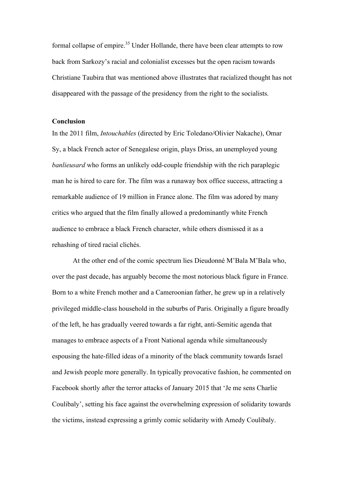formal collapse of empire.<sup>35</sup> Under Hollande, there have been clear attempts to row back from Sarkozy's racial and colonialist excesses but the open racism towards Christiane Taubira that was mentioned above illustrates that racialized thought has not disappeared with the passage of the presidency from the right to the socialists.

#### **Conclusion**

In the 2011 film, *Intouchables* (directed by Eric Toledano/Olivier Nakache), Omar Sy, a black French actor of Senegalese origin, plays Driss, an unemployed young *banlieusard* who forms an unlikely odd-couple friendship with the rich paraplegic man he is hired to care for. The film was a runaway box office success, attracting a remarkable audience of 19 million in France alone. The film was adored by many critics who argued that the film finally allowed a predominantly white French audience to embrace a black French character, while others dismissed it as a rehashing of tired racial clichés.

At the other end of the comic spectrum lies Dieudonné M'Bala M'Bala who, over the past decade, has arguably become the most notorious black figure in France. Born to a white French mother and a Cameroonian father, he grew up in a relatively privileged middle-class household in the suburbs of Paris. Originally a figure broadly of the left, he has gradually veered towards a far right, anti-Semitic agenda that manages to embrace aspects of a Front National agenda while simultaneously espousing the hate-filled ideas of a minority of the black community towards Israel and Jewish people more generally. In typically provocative fashion, he commented on Facebook shortly after the terror attacks of January 2015 that 'Je me sens Charlie Coulibaly', setting his face against the overwhelming expression of solidarity towards the victims, instead expressing a grimly comic solidarity with Amedy Coulibaly.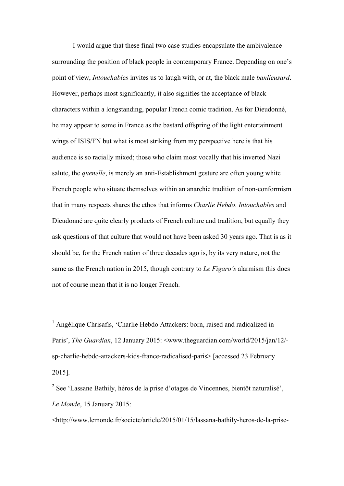I would argue that these final two case studies encapsulate the ambivalence surrounding the position of black people in contemporary France. Depending on one's point of view, *Intouchables* invites us to laugh with, or at, the black male *banlieusard*. However, perhaps most significantly, it also signifies the acceptance of black characters within a longstanding, popular French comic tradition. As for Dieudonné, he may appear to some in France as the bastard offspring of the light entertainment wings of ISIS/FN but what is most striking from my perspective here is that his audience is so racially mixed; those who claim most vocally that his inverted Nazi salute, the *quenelle*, is merely an anti-Establishment gesture are often young white French people who situate themselves within an anarchic tradition of non-conformism that in many respects shares the ethos that informs *Charlie Hebdo*. *Intouchables* and Dieudonné are quite clearly products of French culture and tradition, but equally they ask questions of that culture that would not have been asked 30 years ago. That is as it should be, for the French nation of three decades ago is, by its very nature, not the same as the French nation in 2015, though contrary to *Le Figaro's* alarmism this does not of course mean that it is no longer French.

<http://www.lemonde.fr/societe/article/2015/01/15/lassana-bathily-heros-de-la-prise-

<sup>&</sup>lt;sup>1</sup> Angélique Chrisafis, 'Charlie Hebdo Attackers: born, raised and radicalized in Paris', *The Guardian*, 12 January 2015: <www.theguardian.com/world/2015/jan/12/ sp-charlie-hebdo-attackers-kids-france-radicalised-paris> [accessed 23 February 2015].

<sup>&</sup>lt;sup>2</sup> See 'Lassane Bathily, héros de la prise d'otages de Vincennes, bientôt naturalisé', *Le Monde*, 15 January 2015: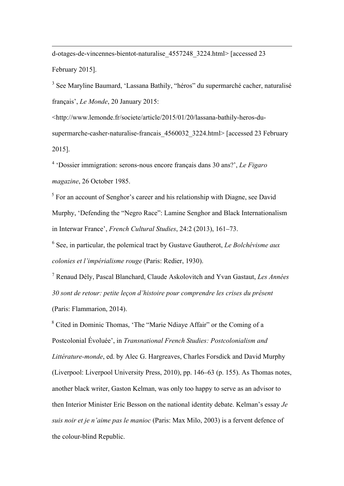d-otages-de-vincennes-bientot-naturalise\_4557248\_3224.html> [accessed 23 February 2015].

 $\overline{a}$ 

<sup>3</sup> See Maryline Baumard, 'Lassana Bathily, "héros" du supermarché cacher, naturalisé français', *Le Monde*, 20 January 2015:

<http://www.lemonde.fr/societe/article/2015/01/20/lassana-bathily-heros-dusupermarche-casher-naturalise-francais 4560032 3224.html> [accessed 23 February 2015].

<sup>4</sup> 'Dossier immigration: serons-nous encore français dans 30 ans?', *Le Figaro magazine*, 26 October 1985.

<sup>5</sup> For an account of Senghor's career and his relationship with Diagne, see David Murphy, 'Defending the "Negro Race": Lamine Senghor and Black Internationalism in Interwar France', *French Cultural Studies*, 24:2 (2013), 161–73.

<sup>6</sup> See, in particular, the polemical tract by Gustave Gautherot, *Le Bolchévisme aux colonies et l'impérialisme rouge* (Paris: Redier, 1930).

<sup>7</sup> Renaud Dély, Pascal Blanchard, Claude Askolovitch and Yvan Gastaut, *Les Années 30 sont de retour: petite leçon d'histoire pour comprendre les crises du présent* (Paris: Flammarion, 2014).

<sup>8</sup> Cited in Dominic Thomas, 'The "Marie Ndiaye Affair" or the Coming of a Postcolonial Évoluée', in *Transnational French Studies: Postcolonialism and Littérature-monde*, ed. by Alec G. Hargreaves, Charles Forsdick and David Murphy (Liverpool: Liverpool University Press, 2010), pp. 146–63 (p. 155). As Thomas notes, another black writer, Gaston Kelman, was only too happy to serve as an advisor to then Interior Minister Eric Besson on the national identity debate. Kelman's essay *Je suis noir et je n'aime pas le manioc* (Paris: Max Milo, 2003) is a fervent defence of the colour-blind Republic.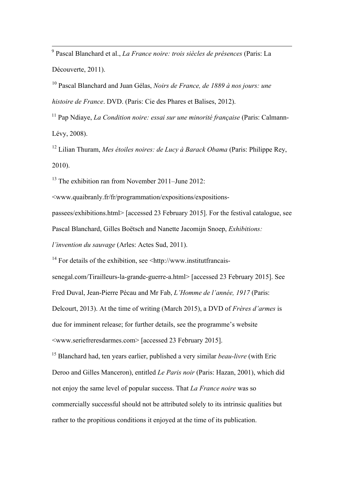<sup>9</sup> Pascal Blanchard et al., *La France noire: trois siècles de présences* (Paris: La Découverte, 2011).

<sup>10</sup> Pascal Blanchard and Juan Gélas, *Noirs de France, de 1889 à nos jours: une histoire de France*. DVD. (Paris: Cie des Phares et Balises, 2012).

<sup>11</sup> Pap Ndiaye, *La Condition noire: essai sur une minorité française* (Paris: Calmann-Lévy, 2008).

<sup>12</sup> Lilian Thuram, *Mes étoiles noires: de Lucy à Barack Obama* (Paris: Philippe Rey, 2010).

 $13$  The exhibition ran from November 2011–June 2012:

<www.quaibranly.fr/fr/programmation/expositions/expositions-

passees/exhibitions.html> [accessed 23 February 2015]. For the festival catalogue, see

Pascal Blanchard, Gilles Boëtsch and Nanette Jacomijn Snoep, *Exhibitions:* 

*l'invention du sauvage* (Arles: Actes Sud, 2011).

 $14$  For details of the exhibition, see  $\leq$ http://www.institutfrancais-

senegal.com/Tirailleurs-la-grande-guerre-a.html> [accessed 23 February 2015]. See Fred Duval, Jean-Pierre Pécau and Mr Fab, *L'Homme de l'année, 1917* (Paris:

Delcourt, 2013). At the time of writing (March 2015), a DVD of *Frères d'armes* is

due for imminent release; for further details, see the programme's website

<www.seriefreresdarmes.com> [accessed 23 February 2015].

<sup>15</sup> Blanchard had, ten years earlier, published a very similar *beau-livre* (with Eric Deroo and Gilles Manceron), entitled *Le Paris noir* (Paris: Hazan, 2001), which did not enjoy the same level of popular success. That *La France noire* was so commercially successful should not be attributed solely to its intrinsic qualities but rather to the propitious conditions it enjoyed at the time of its publication.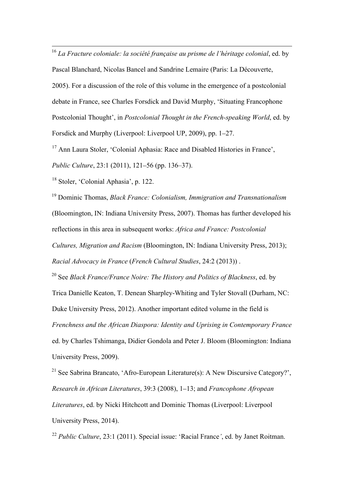<sup>16</sup> *La Fracture coloniale: la société française au prisme de l'héritage colonial*, ed. by

Pascal Blanchard, Nicolas Bancel and Sandrine Lemaire (Paris: La Découverte,

2005). For a discussion of the role of this volume in the emergence of a postcolonial debate in France, see Charles Forsdick and David Murphy, 'Situating Francophone Postcolonial Thought', in *Postcolonial Thought in the French-speaking World*, ed. by Forsdick and Murphy (Liverpool: Liverpool UP, 2009), pp. 1–27.

<sup>17</sup> Ann Laura Stoler, 'Colonial Aphasia: Race and Disabled Histories in France',

*Public Culture*, 23:1 (2011), 121–56 (pp. 136–37).

<sup>18</sup> Stoler, 'Colonial Aphasia', p. 122.

<sup>19</sup> Dominic Thomas, *Black France: Colonialism, Immigration and Transnationalism* (Bloomington, IN: Indiana University Press, 2007). Thomas has further developed his reflections in this area in subsequent works: *Africa and France: Postcolonial Cultures, Migration and Racism* (Bloomington, IN: Indiana University Press, 2013); *Racial Advocacy in France* (*French Cultural Studies*, 24:2 (2013)) .

<sup>20</sup> See *Black France/France Noire: The History and Politics of Blackness*, ed. by Trica Danielle Keaton, T. Denean Sharpley-Whiting and Tyler Stovall (Durham, NC: Duke University Press, 2012). Another important edited volume in the field is *Frenchness and the African Diaspora: Identity and Uprising in Contemporary France* ed. by Charles Tshimanga, Didier Gondola and Peter J. Bloom (Bloomington: Indiana University Press, 2009).

<sup>21</sup> See Sabrina Brancato, 'Afro-European Literature(s): A New Discursive Category?'. *Research in African Literatures*, 39:3 (2008), 1–13; and *Francophone Afropean Literatures*, ed. by Nicki Hitchcott and Dominic Thomas (Liverpool: Liverpool University Press, 2014).

<sup>22</sup> *Public Culture*, 23:1 (2011). Special issue: 'Racial France*'*, ed. by Janet Roitman.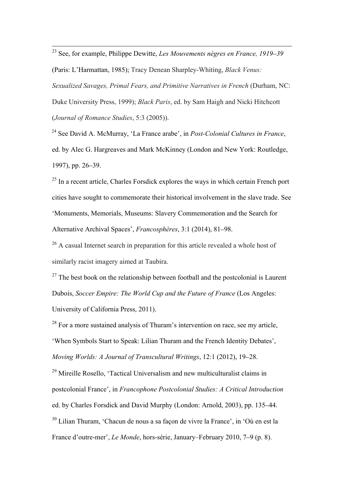<sup>23</sup> See, for example, Philippe Dewitte, *Les Mouvements nègres en France, 1919*–*<sup>39</sup>* (Paris: L'Harmattan, 1985); Tracy Denean Sharpley-Whiting, *Black Venus: Sexualized Savages, Primal Fears, and Primitive Narratives in French* (Durham, NC: Duke University Press, 1999); *Black Paris*, ed. by Sam Haigh and Nicki Hitchcott (*Journal of Romance Studies*, 5:3 (2005)).

<sup>24</sup> See David A. McMurray, 'La France arabe', in *Post-Colonial Cultures in France*, ed. by Alec G. Hargreaves and Mark McKinney (London and New York: Routledge, 1997), pp. 26–39.

<sup>25</sup> In a recent article, Charles Forsdick explores the ways in which certain French port cities have sought to commemorate their historical involvement in the slave trade. See 'Monuments, Memorials, Museums: Slavery Commemoration and the Search for Alternative Archival Spaces', *Francosphères*, 3:1 (2014), 81–98.

<sup>26</sup> A casual Internet search in preparation for this article revealed a whole host of similarly racist imagery aimed at Taubira.

 $27$  The best book on the relationship between football and the postcolonial is Laurent Dubois, *Soccer Empire: The World Cup and the Future of France* (Los Angeles: University of California Press, 2011).

 $28$  For a more sustained analysis of Thuram's intervention on race, see my article, 'When Symbols Start to Speak: Lilian Thuram and the French Identity Debates', *Moving Worlds: A Journal of Transcultural Writings*, 12:1 (2012), 19–28.

<sup>29</sup> Mireille Rosello, 'Tactical Universalism and new multiculturalist claims in postcolonial France', in *Francophone Postcolonial Studies: A Critical Introduction* ed. by Charles Forsdick and David Murphy (London: Arnold, 2003), pp. 135–44. <sup>30</sup> Lilian Thuram, 'Chacun de nous a sa façon de vivre la France', in 'Où en est la France d'outre-mer', *Le Monde*, hors-série, January–February 2010, 7–9 (p. 8).